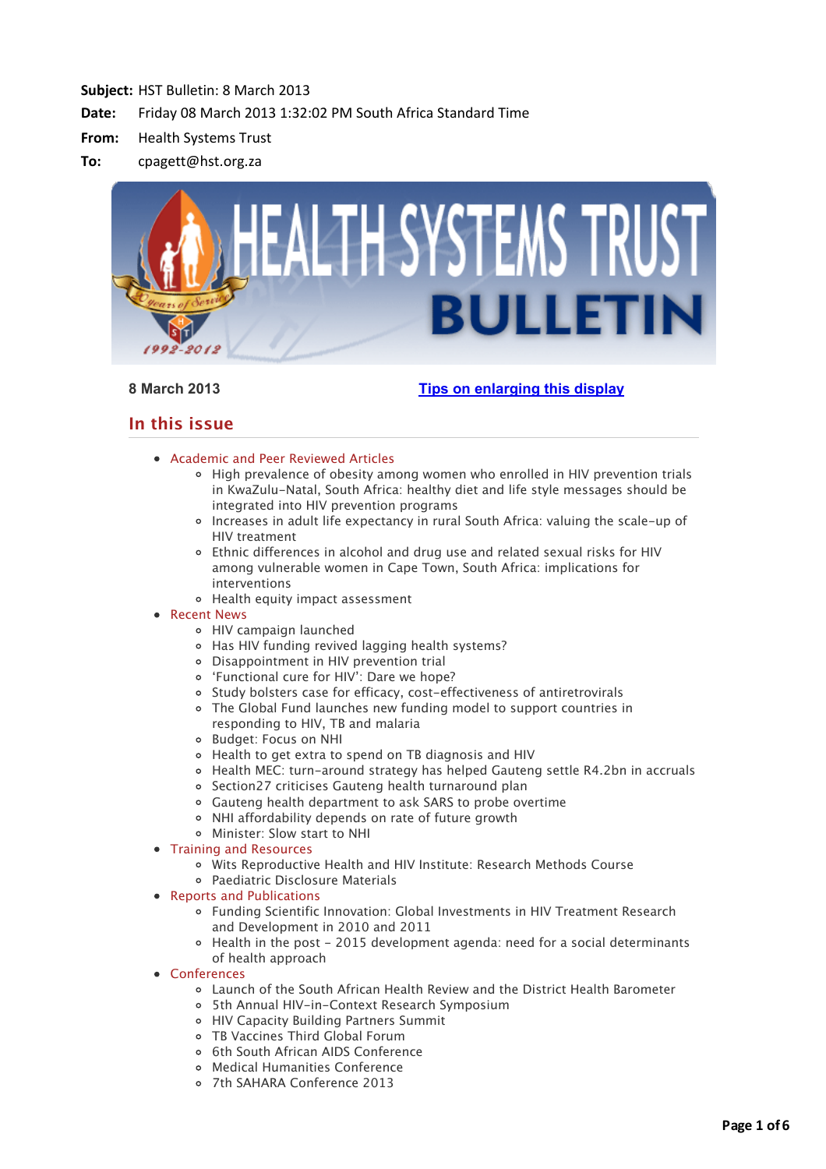

# **8 March 2013 [Tips on enlarging this display](http://bulletin.hst.org.za//lt.php?id=K09SClJdVQEHSlBYAUUHC1NR)**

# **In this issue**

- [Academic and Peer Reviewed Articles](applewebdata://2E18FF5A-B60E-4EED-B476-5C30AE7C4E65#Academic)
	- o [High prevalence of obesity among women who enrolled in HIV prevention trials](applewebdata://2E18FF5A-B60E-4EED-B476-5C30AE7C4E65#A_1) in KwaZulu-Natal, South Africa: healthy diet and life style messages should be integrated into HIV prevention programs
	- [Increases in adult life expectancy in rural South Africa: valuing the scale-up of](applewebdata://2E18FF5A-B60E-4EED-B476-5C30AE7C4E65#A_2) HIV treatment
	- [Ethnic differences in alcohol and drug use and related sexual risks for HIV](applewebdata://2E18FF5A-B60E-4EED-B476-5C30AE7C4E65#A_3) among vulnerable women in Cape Town, South Africa: implications for interventions
	- [Health equity impact assessment](applewebdata://2E18FF5A-B60E-4EED-B476-5C30AE7C4E65#A_4)

# • [Recent News](applewebdata://2E18FF5A-B60E-4EED-B476-5C30AE7C4E65#recent)

- [HIV campaign launched](applewebdata://2E18FF5A-B60E-4EED-B476-5C30AE7C4E65#N_1)
- [Has HIV funding revived lagging health systems?](applewebdata://2E18FF5A-B60E-4EED-B476-5C30AE7C4E65#N_2)
- [Disappointment in HIV prevention trial](applewebdata://2E18FF5A-B60E-4EED-B476-5C30AE7C4E65#N_3)
- ['Functional cure for HIV': Dare we hope?](applewebdata://2E18FF5A-B60E-4EED-B476-5C30AE7C4E65#N_4)
- [Study bolsters case for efficacy, cost-effectiveness of antiretrovirals](applewebdata://2E18FF5A-B60E-4EED-B476-5C30AE7C4E65#N_5)
- [The Global Fund launches new funding model to support countries in](applewebdata://2E18FF5A-B60E-4EED-B476-5C30AE7C4E65#N_6) responding to HIV, TB and malaria
- [Budget: Focus on NHI](applewebdata://2E18FF5A-B60E-4EED-B476-5C30AE7C4E65#N_7)
- [Health to get extra to spend on TB diagnosis and HIV](applewebdata://2E18FF5A-B60E-4EED-B476-5C30AE7C4E65#N_8)
- [Health MEC: turn-around strategy has helped Gauteng settle R4.2bn in accruals](applewebdata://2E18FF5A-B60E-4EED-B476-5C30AE7C4E65#N_9)
- [Section27 criticises Gauteng health turnaround plan](applewebdata://2E18FF5A-B60E-4EED-B476-5C30AE7C4E65#N_10)
- [Gauteng health department to ask SARS to probe overtime](applewebdata://2E18FF5A-B60E-4EED-B476-5C30AE7C4E65#N_11)
- [NHI affordability depends on rate of future growth](applewebdata://2E18FF5A-B60E-4EED-B476-5C30AE7C4E65#N_12)
- [Minister: Slow start to NHI](applewebdata://2E18FF5A-B60E-4EED-B476-5C30AE7C4E65#N_13)
- [Training and Resources](applewebdata://2E18FF5A-B60E-4EED-B476-5C30AE7C4E65#train)
	- [Wits Reproductive Health and HIV Institute: Research Methods Course](applewebdata://2E18FF5A-B60E-4EED-B476-5C30AE7C4E65#T_1)
	- [Paediatric Disclosure Materials](applewebdata://2E18FF5A-B60E-4EED-B476-5C30AE7C4E65#T_2)
- [Reports and Publications](applewebdata://2E18FF5A-B60E-4EED-B476-5C30AE7C4E65#publications)
	- [Funding Scientific Innovation: Global Investments in HIV Treatment Research](applewebdata://2E18FF5A-B60E-4EED-B476-5C30AE7C4E65#P_1) and Development in 2010 and 2011
	- [Health in the post 2015 development agenda: need for a social determinants](applewebdata://2E18FF5A-B60E-4EED-B476-5C30AE7C4E65#P_2) of health approach
- [Conferences](applewebdata://2E18FF5A-B60E-4EED-B476-5C30AE7C4E65#conferences)
	- [Launch of the South African Health Review and the District Health Barometer](applewebdata://2E18FF5A-B60E-4EED-B476-5C30AE7C4E65#C_1)
	- [5th Annual HIV-in-Context Research Symposium](applewebdata://2E18FF5A-B60E-4EED-B476-5C30AE7C4E65#C_2)
	- [HIV Capacity Building Partners Summit](applewebdata://2E18FF5A-B60E-4EED-B476-5C30AE7C4E65#C_3)
	- [TB Vaccines Third Global Forum](applewebdata://2E18FF5A-B60E-4EED-B476-5C30AE7C4E65#C_4)
	- o [6th South African AIDS Conference](applewebdata://2E18FF5A-B60E-4EED-B476-5C30AE7C4E65#C_5)
	- [Medical Humanities Conference](applewebdata://2E18FF5A-B60E-4EED-B476-5C30AE7C4E65#C_6)
	- [7th SAHARA Conference 2013](applewebdata://2E18FF5A-B60E-4EED-B476-5C30AE7C4E65#C_7)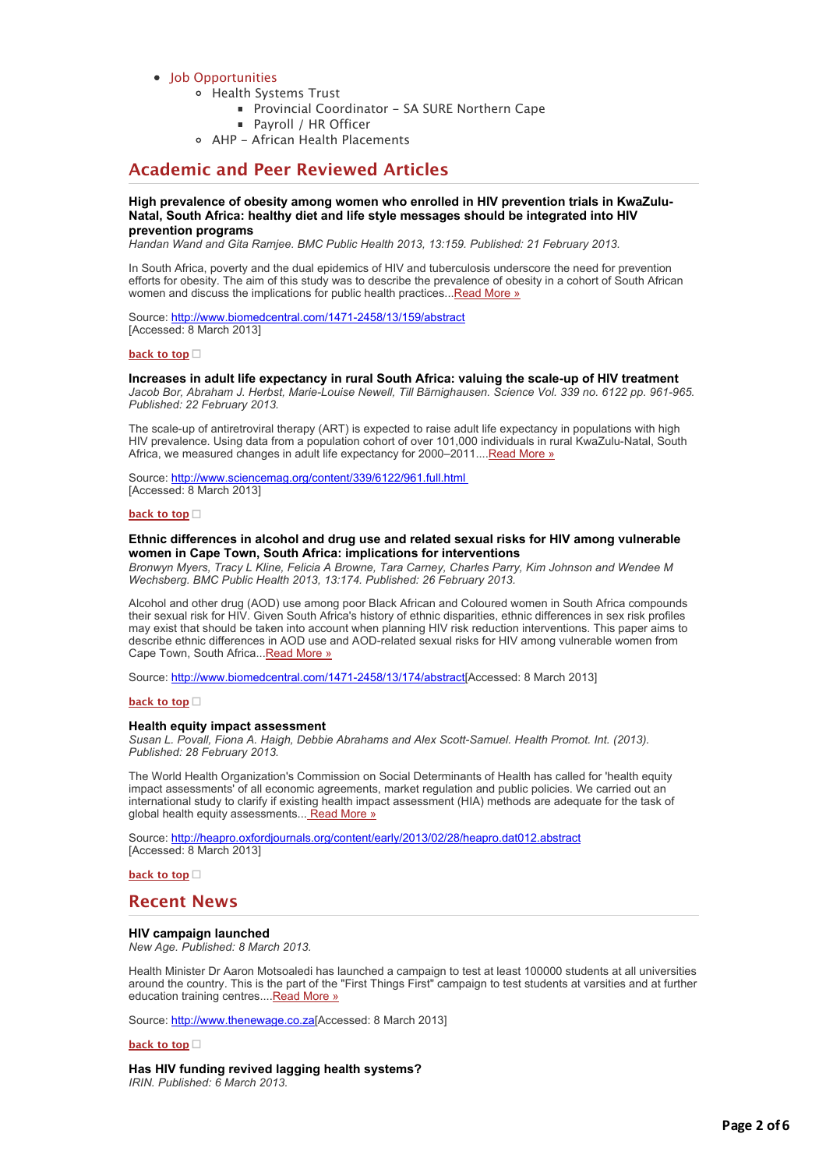# [Job Opportunities](applewebdata://2E18FF5A-B60E-4EED-B476-5C30AE7C4E65#jobs)

- [Health Systems Trust](applewebdata://2E18FF5A-B60E-4EED-B476-5C30AE7C4E65#J_1)
	- [Provincial Coordinator SA SURE Northern Cape](applewebdata://2E18FF5A-B60E-4EED-B476-5C30AE7C4E65#J_2)
	- [Payroll / HR Officer](applewebdata://2E18FF5A-B60E-4EED-B476-5C30AE7C4E65#J_3)
- [AHP African Health Placements](applewebdata://2E18FF5A-B60E-4EED-B476-5C30AE7C4E65#J_0)

# **Academic and Peer Reviewed Articles**

# **High prevalence of obesity among women who enrolled in HIV prevention trials in KwaZulu-Natal, South Africa: healthy diet and life style messages should be integrated into HIV prevention programs**

*Handan Wand and Gita Ramjee. BMC Public Health 2013, 13:159. Published: 21 February 2013.*

In South Africa, poverty and the dual epidemics of HIV and tuberculosis underscore the need for prevention efforts for obesity. The aim of this study was to describe the prevalence of obesity in a cohort of South African women and discuss the implications for public health practices... Read More »

Source: [http://www.biomedcentral.com/1471-2458/13/159/abstract](http://bulletin.hst.org.za//lt.php?id=K09SClJdVQEGSlBYAUUHC1NR) [Accessed: 8 March 2013]

#### **[back to top](applewebdata://2E18FF5A-B60E-4EED-B476-5C30AE7C4E65#top)**

## **Increases in adult life expectancy in rural South Africa: valuing the scale-up of HIV treatment**

*Jacob Bor, Abraham J. Herbst, Marie-Louise Newell, Till Bärnighausen. Science Vol. 339 no. 6122 pp. 961-965. Published: 22 February 2013.*

The scale-up of antiretroviral therapy (ART) is expected to raise adult life expectancy in populations with high HIV prevalence. Using data from a population cohort of over 101,000 individuals in rural KwaZulu-Natal, South Africa, we measured changes in adult life expectancy for 2000–2011.... [Read More »](http://bulletin.hst.org.za//lt.php?id=K09SClJdVA8ESlBYAUUHC1NR)

Source: [http://www.sciencemag.org/content/339/6122/961.full.html](http://bulletin.hst.org.za//lt.php?id=K09SClJdVA8ESlBYAUUHC1NR)  [Accessed: 8 March 2013]

#### **[back to top](applewebdata://2E18FF5A-B60E-4EED-B476-5C30AE7C4E65#top)**

### **Ethnic differences in alcohol and drug use and related sexual risks for HIV among vulnerable women in Cape Town, South Africa: implications for interventions**

*Bronwyn Myers, Tracy L Kline, Felicia A Browne, Tara Carney, Charles Parry, Kim Johnson and Wendee M Wechsberg. BMC Public Health 2013, 13:174. Published: 26 February 2013.*

Alcohol and other drug (AOD) use among poor Black African and Coloured women in South Africa compounds their sexual risk for HIV. Given South Africa's history of ethnic disparities, ethnic differences in sex risk profiles may exist that should be taken into account when planning HIV risk reduction interventions. This paper aims to describe ethnic differences in AOD use and AOD-related sexual risks for HIV among vulnerable women from Cape Town, South Africa..[.Read More »](http://bulletin.hst.org.za//lt.php?id=K09SClJdVQEESlBYAUUHC1NR)

Source: [http://www.biomedcentral.com/1471-2458/13/174/abstract\[](http://bulletin.hst.org.za//lt.php?id=K09SClJdVQEESlBYAUUHC1NR)Accessed: 8 March 2013]

#### **[back to top](applewebdata://2E18FF5A-B60E-4EED-B476-5C30AE7C4E65#top)**

#### **Health equity impact assessment**

*Susan L. Povall, Fiona A. Haigh, Debbie Abrahams and Alex Scott-Samuel. Health Promot. Int. (2013). Published: 28 February 2013.*

The World Health Organization's Commission on Social Determinants of Health has called for 'health equity impact assessments' of all economic agreements, market regulation and public policies. We carried out an international study to clarify if existing health impact assessment (HIA) methods are adequate for the task of global health equity assessments... [Read More »](http://bulletin.hst.org.za//lt.php?id=K09SClJdVQEDSlBYAUUHC1NR)

Source: [http://heapro.oxfordjournals.org/content/early/2013/02/28/heapro.dat012.abstract](http://bulletin.hst.org.za//lt.php?id=K09SClJdVQEDSlBYAUUHC1NR) [Accessed: 8 March 2013]

**[back to top](applewebdata://2E18FF5A-B60E-4EED-B476-5C30AE7C4E65#top)**

# **Recent News**

### **HIV campaign launched**

*New Age. Published: 8 March 2013.*

Health Minister Dr Aaron Motsoaledi has launched a campaign to test at least 100000 students at all universities around the country. This is the part of the "First Things First" campaign to test students at varsities and at further education training centres...[.Read More »](http://bulletin.hst.org.za//lt.php?id=K09SClJdVQECSlBYAUUHC1NR)

Source: [http://www.thenewage.co.za\[](http://bulletin.hst.org.za//lt.php?id=K09SClJdVQEBSlBYAUUHC1NR)Accessed: 8 March 2013]

#### **[back to top](applewebdata://2E18FF5A-B60E-4EED-B476-5C30AE7C4E65#top)**

**Has HIV funding revived lagging health systems?** *IRIN. Published: 6 March 2013.*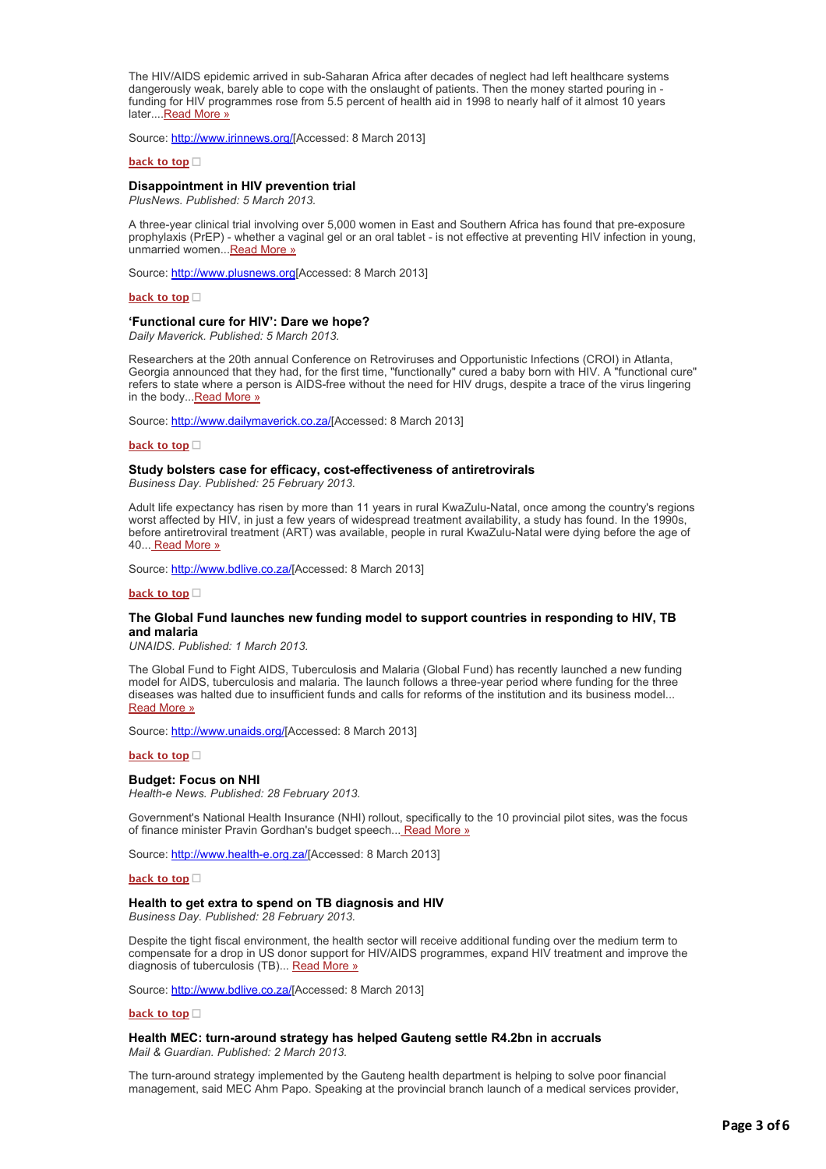The HIV/AIDS epidemic arrived in sub-Saharan Africa after decades of neglect had left healthcare systems dangerously weak, barely able to cope with the onslaught of patients. Then the money started pouring in funding for HIV programmes rose from 5.5 percent of health aid in 1998 to nearly half of it almost 10 years later....[Read More »](http://bulletin.hst.org.za//lt.php?id=K09SClJdVQEASlBYAUUHC1NR)

Source: [http://www.irinnews.org/](http://bulletin.hst.org.za//lt.php?id=K09SClJdVQEPSlBYAUUHC1NR)[Accessed: 8 March 2013]

#### **[back to top](applewebdata://2E18FF5A-B60E-4EED-B476-5C30AE7C4E65#top)**

#### **Disappointment in HIV prevention trial**

*PlusNews. Published: 5 March 2013.*

A three-year clinical trial involving over 5,000 women in East and Southern Africa has found that pre-exposure prophylaxis (PrEP) - whether a vaginal gel or an oral tablet - is not effective at preventing HIV infection in young, unmarried women...[Read More »](http://bulletin.hst.org.za//lt.php?id=K09SClJdVQEOSlBYAUUHC1NR)

Source: [http://www.plusnews.org\[](http://bulletin.hst.org.za//lt.php?id=K09SClJdVQ4HSlBYAUUHC1NR)Accessed: 8 March 2013]

# **[back to top](applewebdata://2E18FF5A-B60E-4EED-B476-5C30AE7C4E65#top)**

#### **'Functional cure for HIV': Dare we hope?**

*Daily Maverick. Published: 5 March 2013.*

Researchers at the 20th annual Conference on Retroviruses and Opportunistic Infections (CROI) in Atlanta, Georgia announced that they had, for the first time, "functionally" cured a baby born with HIV. A "functional cure" refers to state where a person is AIDS-free without the need for HIV drugs, despite a trace of the virus lingering in the body. Read More »

Source: [http://www.dailymaverick.co.za/\[](http://bulletin.hst.org.za//lt.php?id=K09SClJdVQ4FSlBYAUUHC1NR)Accessed: 8 March 2013]

### **[back to top](applewebdata://2E18FF5A-B60E-4EED-B476-5C30AE7C4E65#top)**

#### **Study bolsters case for efficacy, cost-effectiveness of antiretrovirals**

*Business Day. Published: 25 February 2013.*

Adult life expectancy has risen by more than 11 years in rural KwaZulu-Natal, once among the country's regions worst affected by HIV, in just a few years of widespread treatment availability, a study has found. In the 1990s, before antiretroviral treatment (ART) was available, people in rural KwaZulu-Natal were dying before the age of 40... [Read More »](http://bulletin.hst.org.za//lt.php?id=K09SClJdVQ4ESlBYAUUHC1NR)

Source: [http://www.bdlive.co.za/](http://bulletin.hst.org.za//lt.php?id=K09SClJdVQ4DSlBYAUUHC1NR)[Accessed: 8 March 2013]

#### **[back to top](applewebdata://2E18FF5A-B60E-4EED-B476-5C30AE7C4E65#top)**

#### **The Global Fund launches new funding model to support countries in responding to HIV, TB and malaria**

*UNAIDS. Published: 1 March 2013.*

The Global Fund to Fight AIDS, Tuberculosis and Malaria (Global Fund) has recently launched a new funding model for AIDS, tuberculosis and malaria. The launch follows a three-year period where funding for the three diseases was halted due to insufficient funds and calls for reforms of the institution and its business model... [Read More »](http://bulletin.hst.org.za//lt.php?id=K09SClJdVQ4CSlBYAUUHC1NR)

Source: [http://www.unaids.org/](http://bulletin.hst.org.za//lt.php?id=K09SClJdVQ4BSlBYAUUHC1NR)[Accessed: 8 March 2013]

#### **[back to top](applewebdata://2E18FF5A-B60E-4EED-B476-5C30AE7C4E65#top)**

### **Budget: Focus on NHI**

*Health-e News. Published: 28 February 2013.*

Government's National Health Insurance (NHI) rollout, specifically to the 10 provincial pilot sites, was the focus of finance minister Pravin Gordhan's budget speech... [Read More »](http://bulletin.hst.org.za//lt.php?id=K09SClJdVQ4ASlBYAUUHC1NR)

Source: [http://www.health-e.org.za/\[](http://bulletin.hst.org.za//lt.php?id=K09SClJdVQ4PSlBYAUUHC1NR)Accessed: 8 March 2013]

#### **[back to top](applewebdata://2E18FF5A-B60E-4EED-B476-5C30AE7C4E65#top)**

### **Health to get extra to spend on TB diagnosis and HIV**

*Business Day. Published: 28 February 2013.*

Despite the tight fiscal environment, the health sector will receive additional funding over the medium term to compensate for a drop in US donor support for HIV/AIDS programmes, expand HIV treatment and improve the diagnosis of tuberculosis (TB)... [Read More »](http://bulletin.hst.org.za//lt.php?id=K09SClJdVQ4OSlBYAUUHC1NR)

Source: [http://www.bdlive.co.za/](http://bulletin.hst.org.za//lt.php?id=K09SClJdVQ8HSlBYAUUHC1NR)[Accessed: 8 March 2013]

#### **[back to top](applewebdata://2E18FF5A-B60E-4EED-B476-5C30AE7C4E65#top)**

**Health MEC: turn-around strategy has helped Gauteng settle R4.2bn in accruals** *Mail & Guardian. Published: 2 March 2013.*

The turn-around strategy implemented by the Gauteng health department is helping to solve poor financial management, said MEC Ahm Papo. Speaking at the provincial branch launch of a medical services provider,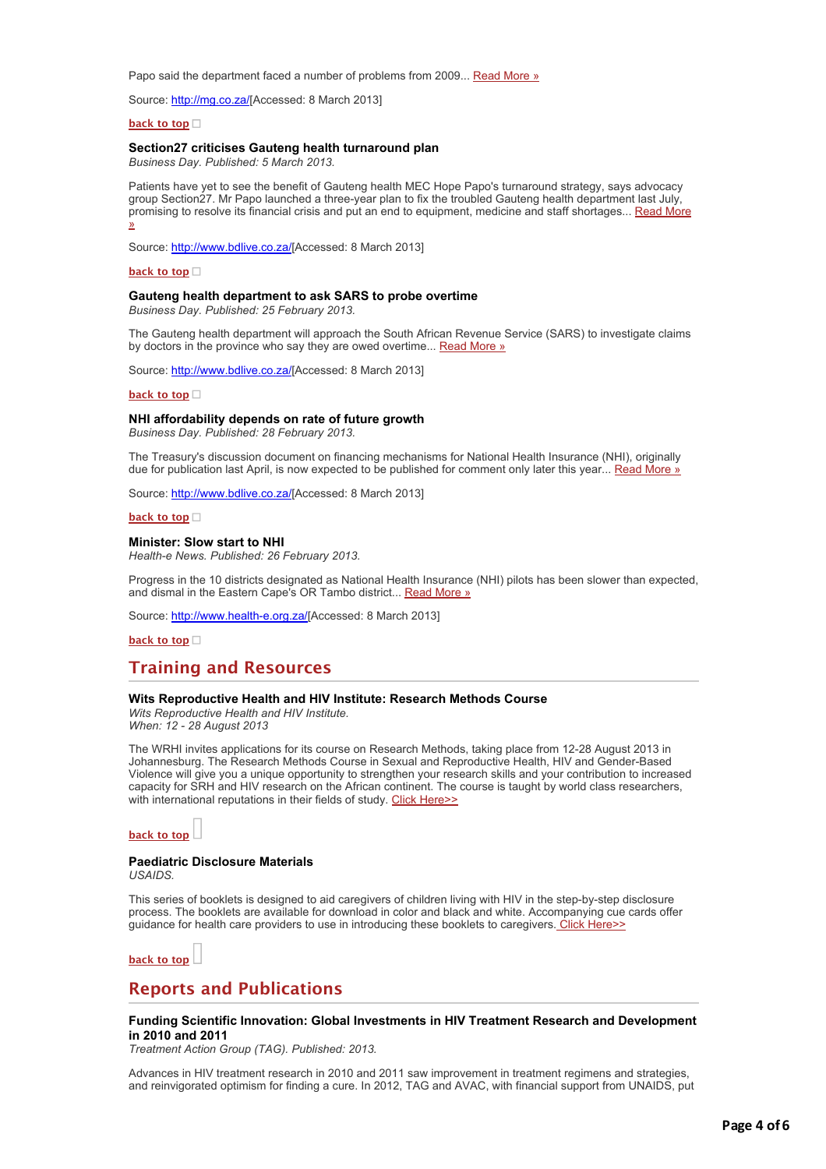Papo said the department faced a number of problems from 2009... [Read More »](http://bulletin.hst.org.za//lt.php?id=K09SClJdVQ8ESlBYAUUHC1NR)

Source: [http://mg.co.za/\[](http://bulletin.hst.org.za//lt.php?id=K09SClJdVQ8DSlBYAUUHC1NR)Accessed: 8 March 2013]

#### **[back to top](applewebdata://2E18FF5A-B60E-4EED-B476-5C30AE7C4E65#top)**

# **Section27 criticises Gauteng health turnaround plan**

*Business Day. Published: 5 March 2013.*

Patients have yet to see the benefit of Gauteng health MEC Hope Papo's turnaround strategy, says advocacy group Section27. Mr Papo launched a three-year plan to fix the troubled Gauteng health department last July, [promising to resolve its financial crisis and put an end to equipment, medicine and staff shortages... Read More](http://bulletin.hst.org.za//lt.php?id=K09SClJdVQ8GSlBYAUUHC1NR) »

Source: [http://www.bdlive.co.za/](http://bulletin.hst.org.za//lt.php?id=K09SClJdVQ8FSlBYAUUHC1NR)[Accessed: 8 March 2013]

#### **[back to top](applewebdata://2E18FF5A-B60E-4EED-B476-5C30AE7C4E65#top)**

# **Gauteng health department to ask SARS to probe overtime**

*Business Day. Published: 25 February 2013.*

The Gauteng health department will approach the South African Revenue Service (SARS) to investigate claims by doctors in the province who say they are owed overtime... [Read More »](http://bulletin.hst.org.za//lt.php?id=K09SClJdVQ8CSlBYAUUHC1NR)

Source: [http://www.bdlive.co.za/](http://bulletin.hst.org.za//lt.php?id=K09SClJdVQ8BSlBYAUUHC1NR)[Accessed: 8 March 2013]

#### **[back to top](applewebdata://2E18FF5A-B60E-4EED-B476-5C30AE7C4E65#top)**

#### **NHI affordability depends on rate of future growth**

*Business Day. Published: 28 February 2013.*

The Treasury's discussion document on financing mechanisms for National Health Insurance (NHI), originally due for publication last April, is now expected to be published for comment only later this year... [Read More »](http://bulletin.hst.org.za//lt.php?id=K09SClJdVQ8ASlBYAUUHC1NR)

Source: [http://www.bdlive.co.za/](http://bulletin.hst.org.za//lt.php?id=K09SClJdVQ8PSlBYAUUHC1NR)[Accessed: 8 March 2013]

**[back to top](applewebdata://2E18FF5A-B60E-4EED-B476-5C30AE7C4E65#top)**

#### **Minister: Slow start to NHI**

*Health-e News. Published: 26 February 2013.*

Progress in the 10 districts designated as National Health Insurance (NHI) pilots has been slower than expected, and dismal in the Eastern Cape's OR Tambo district... [Read More »](http://bulletin.hst.org.za//lt.php?id=K09SClJdVQ8OSlBYAUUHC1NR)

Source: [http://www.health-e.org.za/\[](http://bulletin.hst.org.za//lt.php?id=K09SClJdVA8DSlBYAUUHC1NR)Accessed: 8 March 2013]

**[back to top](applewebdata://2E18FF5A-B60E-4EED-B476-5C30AE7C4E65#top)**

# **Training and Resources**

# **Wits Reproductive Health and HIV Institute: Research Methods Course**

*Wits Reproductive Health and HIV Institute. When: 12 - 28 August 2013*

The WRHI invites applications for its course on Research Methods, taking place from 12-28 August 2013 in Johannesburg. The Research Methods Course in Sexual and Reproductive Health, HIV and Gender-Based Violence will give you a unique opportunity to strengthen your research skills and your contribution to increased capacity for SRH and HIV research on the African continent. The course is taught by world class researchers, with international reputations in their fields of study. [Click Here>>](http://bulletin.hst.org.za//lt.php?id=K09SClJdVAYHSlBYAUUHC1NR)

**[back to top](applewebdata://2E18FF5A-B60E-4EED-B476-5C30AE7C4E65#top)**

# **Paediatric Disclosure Materials**

*USAIDS.*

This series of booklets is designed to aid caregivers of children living with HIV in the step-by-step disclosure process. The booklets are available for download in color and black and white. Accompanying cue cards offer guidance for health care providers to use in introducing these booklets to caregivers. [Click Here>>](http://bulletin.hst.org.za//lt.php?id=K09SClJdVAYGSlBYAUUHC1NR)

**[back to top](applewebdata://2E18FF5A-B60E-4EED-B476-5C30AE7C4E65#top)**

# **Reports and Publications**

# **Funding Scientific Innovation: Global Investments in HIV Treatment Research and Development in 2010 and 2011**

*Treatment Action Group (TAG). Published: 2013.*

Advances in HIV treatment research in 2010 and 2011 saw improvement in treatment regimens and strategies, and reinvigorated optimism for finding a cure. In 2012, TAG and AVAC, with financial support from UNAIDS, put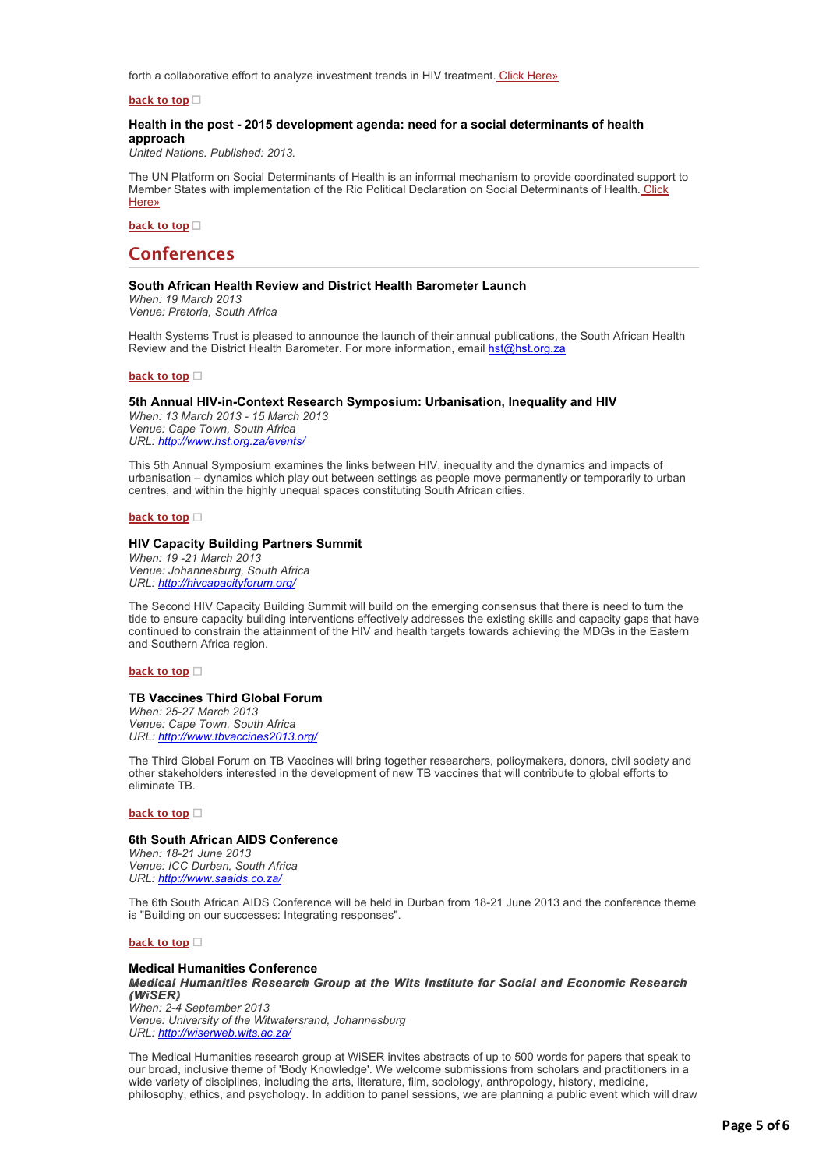forth a collaborative effort to analyze investment trends in HIV treatment. [Click Here»](http://bulletin.hst.org.za//lt.php?id=K09SClJdVAYFSlBYAUUHC1NR)

**[back to top](applewebdata://2E18FF5A-B60E-4EED-B476-5C30AE7C4E65#top)**

# **Health in the post - 2015 development agenda: need for a social determinants of health approach**

*United Nations. Published: 2013.*

The UN Platform on Social Determinants of Health is an informal mechanism to provide coordinated support to [Member States with implementation of the Rio Political Declaration on Social Determinants of Health.](http://bulletin.hst.org.za//lt.php?id=K09SClJdVAYESlBYAUUHC1NR) Click Here»

**[back to top](applewebdata://2E18FF5A-B60E-4EED-B476-5C30AE7C4E65#top)**

# **Conferences**

# **South African Health Review and District Health Barometer Launch**

*When: 19 March 2013 Venue: Pretoria, South Africa*

Health Systems Trust is pleased to announce the launch of their annual publications, the South African Health Review and the District Health Barometer. For more information, email [hst@hst.org.za](mailto:hst@hst.org.za)

**[back to top](applewebdata://2E18FF5A-B60E-4EED-B476-5C30AE7C4E65#top)**

### **5th Annual HIV-in-Context Research Symposium: Urbanisation, Inequality and HIV**

*When: 13 March 2013 - 15 March 2013 Venue: Cape Town, South Africa URL: [http://www.hst.org.za/events/](http://bulletin.hst.org.za//lt.php?id=K09SClJdVAYDSlBYAUUHC1NR)*

This 5th Annual Symposium examines the links between HIV, inequality and the dynamics and impacts of urbanisation – dynamics which play out between settings as people move permanently or temporarily to urban centres, and within the highly unequal spaces constituting South African cities.

#### **[back to top](applewebdata://2E18FF5A-B60E-4EED-B476-5C30AE7C4E65#top)**

#### **HIV Capacity Building Partners Summit**

*When: 19 -21 March 2013 Venue: Johannesburg, South Africa URL: [http://hivcapacityforum.org/](http://bulletin.hst.org.za//lt.php?id=K09SClJdVAYCSlBYAUUHC1NR)*

The Second HIV Capacity Building Summit will build on the emerging consensus that there is need to turn the tide to ensure capacity building interventions effectively addresses the existing skills and capacity gaps that have continued to constrain the attainment of the HIV and health targets towards achieving the MDGs in the Eastern and Southern Africa region.

#### **[back to top](applewebdata://2E18FF5A-B60E-4EED-B476-5C30AE7C4E65#top)**

# **TB Vaccines Third Global Forum**

*When: 25-27 March 2013 Venue: Cape Town, South Africa URL: [http://www.tbvaccines2013.org/](http://bulletin.hst.org.za//lt.php?id=K09SClJdVAYBSlBYAUUHC1NR)*

The Third Global Forum on TB Vaccines will bring together researchers, policymakers, donors, civil society and other stakeholders interested in the development of new TB vaccines that will contribute to global efforts to eliminate TB.

### **[back to top](applewebdata://2E18FF5A-B60E-4EED-B476-5C30AE7C4E65#top)**

#### **6th South African AIDS Conference**

*When: 18-21 June 2013 Venue: ICC Durban, South Africa URL: [http://www.saaids.co.za/](http://bulletin.hst.org.za//lt.php?id=K09SClJdVAYASlBYAUUHC1NR)*

The 6th South African AIDS Conference will be held in Durban from 18-21 June 2013 and the conference theme is "Building on our successes: Integrating responses".

# **[back to top](applewebdata://2E18FF5A-B60E-4EED-B476-5C30AE7C4E65#top)**

#### **Medical Humanities Conference**

*Medical Humanities Research Group at the Wits Institute for Social and Economic Research Medical Humanities Research at the Wits for Social and Economic Research (WiSER) (WiSER) When: 2-4 September 2013 Venue: University of the Witwatersrand, Johannesburg*

*URL: [http://wiserweb.wits.ac.za/](http://bulletin.hst.org.za//lt.php?id=K09SClJdVAYPSlBYAUUHC1NR)*

The Medical Humanities research group at WiSER invites abstracts of up to 500 words for papers that speak to our broad, inclusive theme of 'Body Knowledge'. We welcome submissions from scholars and practitioners in a wide variety of disciplines, including the arts, literature, film, sociology, anthropology, history, medicine, philosophy, ethics, and psychology. In addition to panel sessions, we are planning a public event which will draw